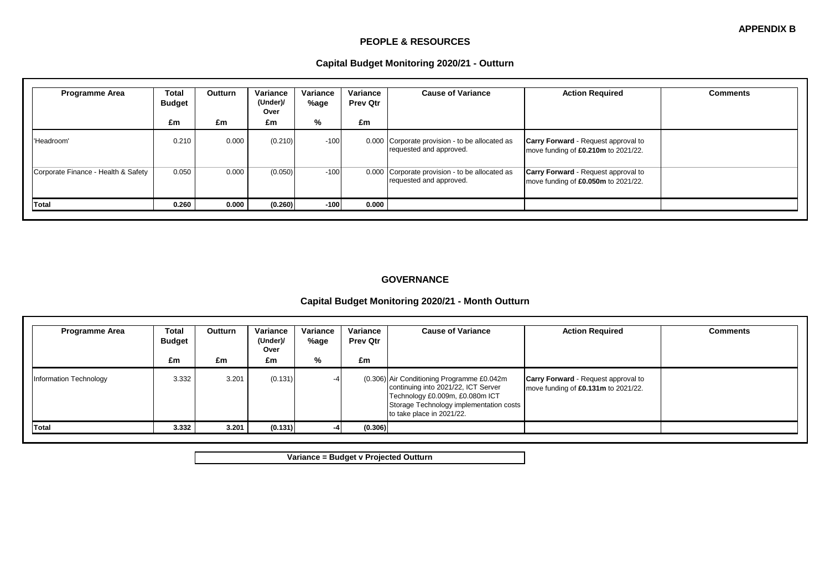#### **PEOPLE & RESOURCES**

#### **Capital Budget Monitoring 2020/21 - Outturn**

| <b>Programme Area</b>               | Total<br><b>Budget</b><br>£m | <b>Outturn</b><br>£m | Variance<br>(Under)/<br>Over<br>£m | Variance<br>%age<br>% | Variance<br><b>Prev Qtr</b><br>£m | <b>Cause of Variance</b>                                                  | <b>Action Required</b>                                                            | <b>Comments</b> |
|-------------------------------------|------------------------------|----------------------|------------------------------------|-----------------------|-----------------------------------|---------------------------------------------------------------------------|-----------------------------------------------------------------------------------|-----------------|
| 'Headroom'                          | 0.210                        | 0.000                | (0.210)                            | $-100$                |                                   | 0.000 Corporate provision - to be allocated as<br>requested and approved. | <b>Carry Forward</b> - Request approval to<br>move funding of £0.210m to 2021/22. |                 |
| Corporate Finance - Health & Safety | 0.050                        | 0.000                | (0.050)                            | $-100$                |                                   | 0.000 Corporate provision - to be allocated as<br>requested and approved. | <b>Carry Forward</b> - Request approval to<br>move funding of £0.050m to 2021/22. |                 |
| <b>Total</b>                        | 0.260                        | 0.000                | (0.260)                            | $-100$                | 0.000                             |                                                                           |                                                                                   |                 |

#### **GOVERNANCE**

# **Capital Budget Monitoring 2020/21 - Month Outturn**

| <b>Programme Area</b>  | Total<br><b>Budget</b> | Outturn | Variance<br>(Under)/<br>Over | Variance<br>%age | Variance<br><b>Prev Qtr</b> | <b>Cause of Variance</b>                                                                                                                                                                     | <b>Action Required</b>                                                            | <b>Comments</b> |
|------------------------|------------------------|---------|------------------------------|------------------|-----------------------------|----------------------------------------------------------------------------------------------------------------------------------------------------------------------------------------------|-----------------------------------------------------------------------------------|-----------------|
|                        | £m                     | £m      | £m                           | %                | £m                          |                                                                                                                                                                                              |                                                                                   |                 |
| Information Technology | 3.332                  | 3.201   | (0.131)                      |                  |                             | (0.306) Air Conditioning Programme £0.042m<br>continuing into 2021/22, ICT Server<br>Technology £0.009m, £0.080m ICT<br>Storage Technology implementation costs<br>to take place in 2021/22. | <b>Carry Forward - Request approval to</b><br>move funding of £0.131m to 2021/22. |                 |
| Total                  | 3.332                  | 3.201   | (0.131)                      |                  | (0.306)                     |                                                                                                                                                                                              |                                                                                   |                 |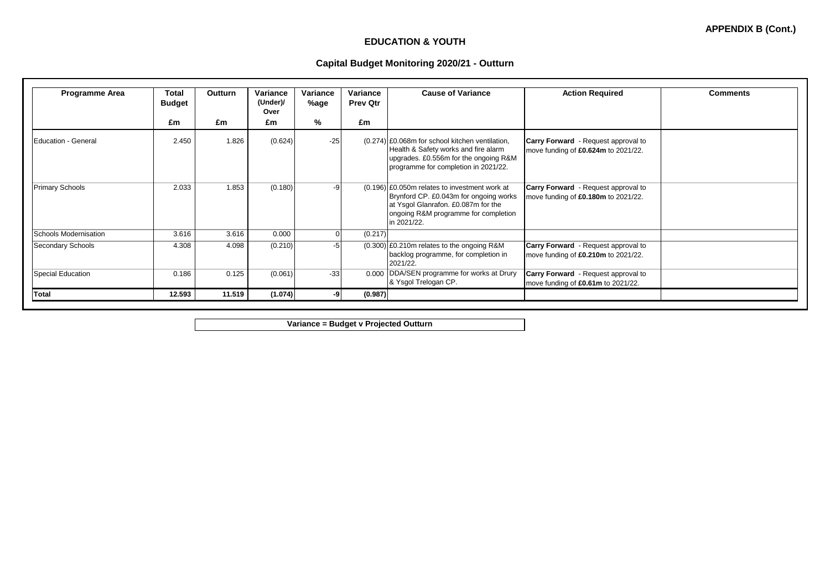## **EDUCATION & YOUTH**

## **Capital Budget Monitoring 2020/21 - Outturn**

| <b>Programme Area</b>        | <b>Total</b><br><b>Budget</b> | <b>Outturn</b> | Variance<br>(Under)/<br>Over | Variance<br>%age | Variance<br><b>Prev Qtr</b> | <b>Cause of Variance</b>                                                                                                                                                                | <b>Action Required</b>                                                            | <b>Comments</b> |
|------------------------------|-------------------------------|----------------|------------------------------|------------------|-----------------------------|-----------------------------------------------------------------------------------------------------------------------------------------------------------------------------------------|-----------------------------------------------------------------------------------|-----------------|
|                              | £m                            | £m             | £m                           | ℅                | £m                          |                                                                                                                                                                                         |                                                                                   |                 |
| <b>Education - General</b>   | 2.450                         | 1.826          | (0.624)                      | $-25$            |                             | (0.274) £0.068m for school kitchen ventilation,<br>Health & Safety works and fire alarm<br>upgrades. £0.556m for the ongoing R&M<br>programme for completion in 2021/22.                | <b>Carry Forward</b> - Request approval to<br>move funding of £0.624m to 2021/22. |                 |
| <b>Primary Schools</b>       | 2.033                         | 1.853          | (0.180)                      | -9               |                             | $(0.196)$ £0.050m relates to investment work at<br>Brynford CP. £0.043m for ongoing works<br>at Ysgol Glanrafon. £0.087m for the<br>ongoing R&M programme for completion<br>in 2021/22. | Carry Forward - Request approval to<br>move funding of £0.180m to 2021/22.        |                 |
| <b>Schools Modernisation</b> | 3.616                         | 3.616          | 0.000                        |                  | (0.217)                     |                                                                                                                                                                                         |                                                                                   |                 |
| Secondary Schools            | 4.308                         | 4.098          | (0.210)                      |                  |                             | $(0.300)$ £0.210m relates to the ongoing R&M<br>backlog programme, for completion in<br>2021/22.                                                                                        | <b>Carry Forward</b> - Request approval to<br>move funding of £0.210m to 2021/22. |                 |
| <b>Special Education</b>     | 0.186                         | 0.125          | (0.061)                      | $-33$            | 0.000                       | DDA/SEN programme for works at Drury<br>& Ysgol Trelogan CP.                                                                                                                            | Carry Forward - Request approval to<br>move funding of £0.61m to 2021/22.         |                 |
| <b>Total</b>                 | 12.593                        | 11.519         | (1.074)                      |                  | (0.987)                     |                                                                                                                                                                                         |                                                                                   |                 |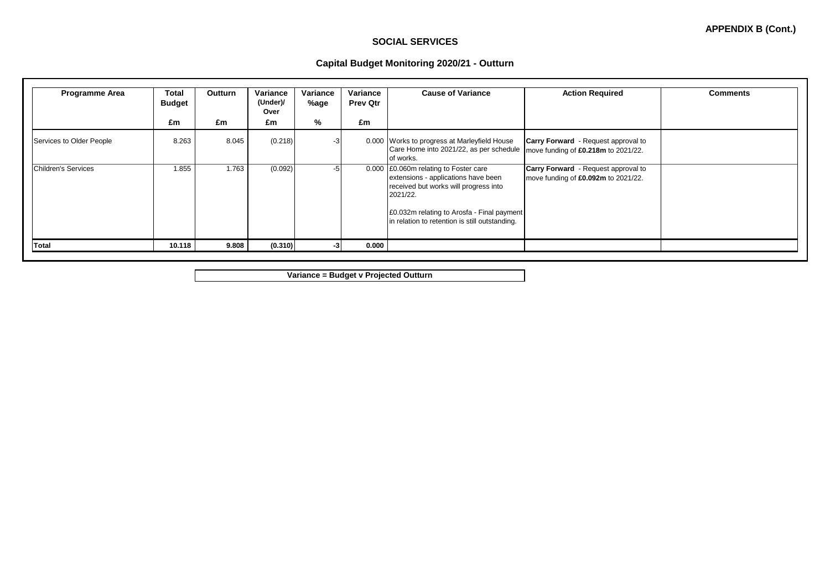**APPENDIX B (Cont.)**

## **Capital Budget Monitoring 2020/21 - Outturn**

| <b>Programme Area</b>    | Total<br><b>Budget</b><br>£m | <b>Outturn</b><br>£m | Variance<br>(Under)/<br>Over<br>£m | Variance<br>%age<br>% | Variance<br><b>Prev Qtr</b><br>£m | <b>Cause of Variance</b>                                                                                                                                                                                                          | <b>Action Required</b>                                                            | <b>Comments</b> |
|--------------------------|------------------------------|----------------------|------------------------------------|-----------------------|-----------------------------------|-----------------------------------------------------------------------------------------------------------------------------------------------------------------------------------------------------------------------------------|-----------------------------------------------------------------------------------|-----------------|
| Services to Older People | 8.263                        | 8.045                | (0.218)                            |                       |                                   | 0.000 Works to progress at Marleyfield House<br>Care Home into 2021/22, as per schedule   move funding of £0.218m to 2021/22.<br>of works.                                                                                        | <b>Carry Forward</b> - Request approval to                                        |                 |
| Children's Services      | 1.855                        | 1.763                | (0.092)                            | -51                   |                                   | 0.000 £0.060m relating to Foster care<br>extensions - applications have been<br>received but works will progress into<br>2021/22.<br>£0.032m relating to Arosfa - Final payment<br>in relation to retention is still outstanding. | <b>Carry Forward</b> - Request approval to<br>move funding of £0.092m to 2021/22. |                 |
| Total                    | 10.118                       | 9.808                | (0.310)                            |                       | 0.000                             |                                                                                                                                                                                                                                   |                                                                                   |                 |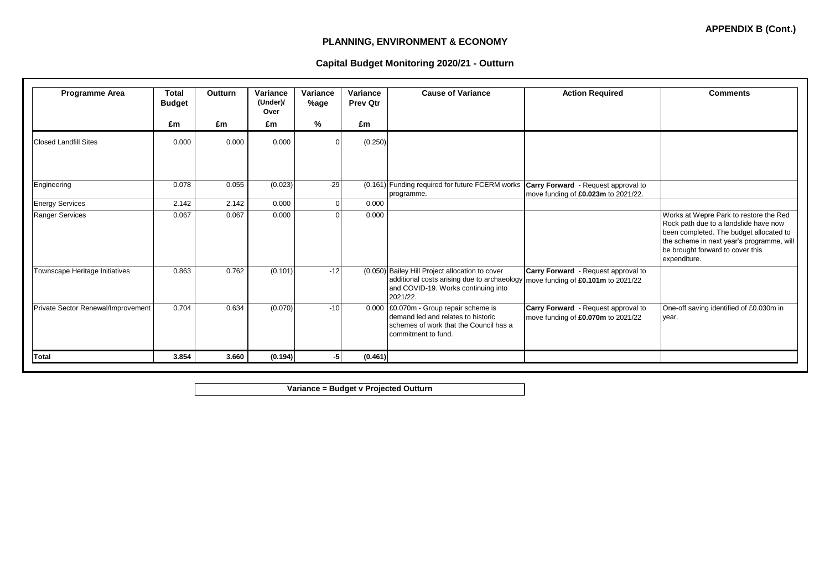## **PLANNING, ENVIRONMENT & ECONOMY**

## **Capital Budget Monitoring 2020/21 - Outturn**

| Programme Area                     | <b>Total</b><br><b>Budget</b> | <b>Outturn</b> | Variance<br>(Under)/<br>Over | Variance<br>%age | Variance<br><b>Prev Qtr</b> | <b>Cause of Variance</b>                                                                                                                          | <b>Action Required</b>                                                    | <b>Comments</b>                                                                                                                                                                                                             |
|------------------------------------|-------------------------------|----------------|------------------------------|------------------|-----------------------------|---------------------------------------------------------------------------------------------------------------------------------------------------|---------------------------------------------------------------------------|-----------------------------------------------------------------------------------------------------------------------------------------------------------------------------------------------------------------------------|
|                                    | £m                            | £m             | £m                           | %                | £m                          |                                                                                                                                                   |                                                                           |                                                                                                                                                                                                                             |
| <b>Closed Landfill Sites</b>       | 0.000                         | 0.000          | 0.000                        |                  | (0.250)                     |                                                                                                                                                   |                                                                           |                                                                                                                                                                                                                             |
| Engineering                        | 0.078                         | 0.055          | (0.023)                      | $-29$            |                             | (0.161) Funding required for future FCERM works Carry Forward - Request approval to<br>programme.                                                 | move funding of £0.023m to 2021/22.                                       |                                                                                                                                                                                                                             |
| <b>Energy Services</b>             | 2.142                         | 2.142          | 0.000                        | $\Omega$         | 0.000                       |                                                                                                                                                   |                                                                           |                                                                                                                                                                                                                             |
| <b>Ranger Services</b>             | 0.067                         | 0.067          | 0.000                        | U                | 0.000                       |                                                                                                                                                   |                                                                           | Works at Wepre Park to restore the Red<br>Rock path due to a landslide have now<br>been completed. The budget allocated to<br>the scheme in next year's programme, will<br>be brought forward to cover this<br>expenditure. |
| Townscape Heritage Initiatives     | 0.863                         | 0.762          | (0.101)                      | $-12$            |                             | (0.050) Bailey Hill Project allocation to cover<br>additional costs arising due to archaeology<br>and COVID-19. Works continuing into<br>2021/22. | Carry Forward - Request approval to<br>move funding of £0.101m to 2021/22 |                                                                                                                                                                                                                             |
| Private Sector Renewal/Improvement | 0.704                         | 0.634          | (0.070)                      | $-10$            |                             | 0.000 £0.070m - Group repair scheme is<br>demand led and relates to historic<br>schemes of work that the Council has a<br>commitment to fund.     | Carry Forward - Request approval to<br>move funding of £0.070m to 2021/22 | One-off saving identified of £0.030m in<br>year.                                                                                                                                                                            |
| <b>Total</b>                       | 3.854                         | 3.660          | (0.194)                      |                  | (0.461)                     |                                                                                                                                                   |                                                                           |                                                                                                                                                                                                                             |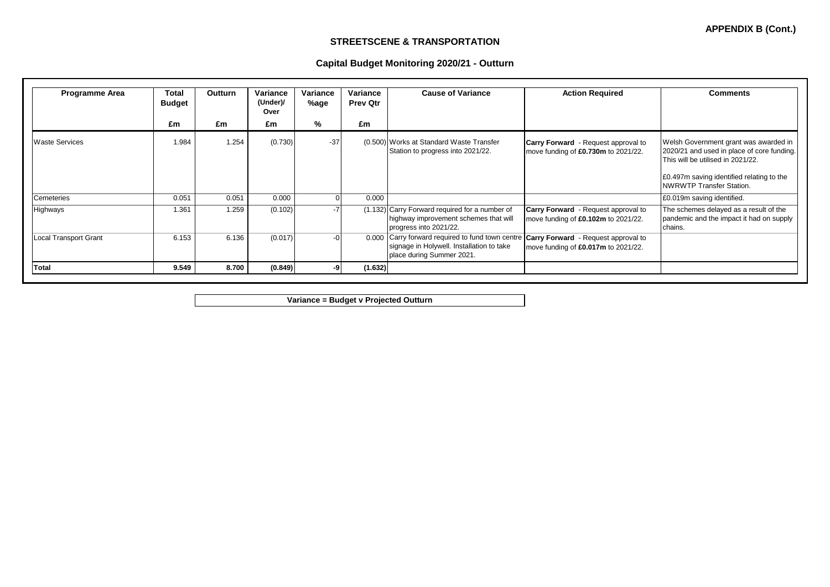**APPENDIX B (Cont.)**

## **STREETSCENE & TRANSPORTATION**

## **Capital Budget Monitoring 2020/21 - Outturn**

| <b>Programme Area</b>        | Total<br><b>Budget</b> | <b>Outturn</b> | Variance<br>(Under)/<br>Over | Variance<br>%age | Variance<br><b>Prev Qtr</b> | <b>Cause of Variance</b>                                                                                                                                        | <b>Action Required</b>                                                            | <b>Comments</b>                                                                                                                                                                                          |
|------------------------------|------------------------|----------------|------------------------------|------------------|-----------------------------|-----------------------------------------------------------------------------------------------------------------------------------------------------------------|-----------------------------------------------------------------------------------|----------------------------------------------------------------------------------------------------------------------------------------------------------------------------------------------------------|
|                              | £m                     | £m             | £m                           | %                | £m                          |                                                                                                                                                                 |                                                                                   |                                                                                                                                                                                                          |
| <b>Waste Services</b>        | 1.984                  | 1.254          | (0.730)                      | $-37$            |                             | (0.500) Works at Standard Waste Transfer<br>Station to progress into 2021/22.                                                                                   | <b>Carry Forward</b> - Request approval to<br>move funding of £0.730m to 2021/22. | Welsh Government grant was awarded in<br>2020/21 and used in place of core funding.<br>This will be utilised in 2021/22.<br>E0.497m saving identified relating to the<br><b>NWRWTP Transfer Station.</b> |
| Cemeteries                   | 0.051                  | 0.051          | 0.000                        |                  | 0.000                       |                                                                                                                                                                 |                                                                                   | £0.019m saving identified.                                                                                                                                                                               |
| Highways                     | 1.361                  | 1.259          | (0.102)                      |                  |                             | (1.132) Carry Forward required for a number of<br>highway improvement schemes that will<br>progress into 2021/22.                                               | <b>Carry Forward</b> - Request approval to<br>move funding of £0.102m to 2021/22. | The schemes delayed as a result of the<br>pandemic and the impact it had on supply<br>chains.                                                                                                            |
| <b>Local Transport Grant</b> | 6.153                  | 6.136          | (0.017)                      |                  | 0.000                       | Carry forward required to fund town centre <b>Carry Forward</b> - Request approval to<br>signage in Holywell. Installation to take<br>place during Summer 2021. | move funding of £0.017m to 2021/22.                                               |                                                                                                                                                                                                          |
| <b>Total</b>                 | 9.549                  | 8.700          | (0.849)                      |                  | (1.632)                     |                                                                                                                                                                 |                                                                                   |                                                                                                                                                                                                          |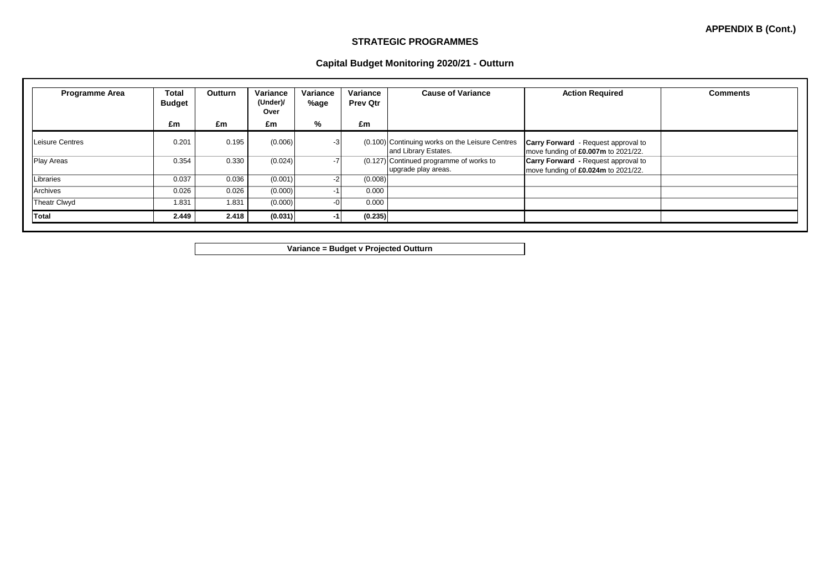**APPENDIX B (Cont.)**

## **STRATEGIC PROGRAMMES**

#### **Capital Budget Monitoring 2020/21 - Outturn**

| <b>Programme Area</b> | Total<br><b>Budget</b> | <b>Outturn</b> | Variance<br>(Under)/<br>Over | Variance<br>%age | Variance<br><b>Prev Qtr</b> | <b>Cause of Variance</b>                                                | <b>Action Required</b>                                                            | <b>Comments</b> |
|-----------------------|------------------------|----------------|------------------------------|------------------|-----------------------------|-------------------------------------------------------------------------|-----------------------------------------------------------------------------------|-----------------|
|                       | £m                     | £m             | £m                           | %                | £m                          |                                                                         |                                                                                   |                 |
| Leisure Centres       | 0.201                  | 0.195          | (0.006)                      | $-3$             |                             | (0.100) Continuing works on the Leisure Centres<br>and Library Estates. | <b>Carry Forward</b> - Request approval to<br>move funding of £0.007m to 2021/22. |                 |
| <b>Play Areas</b>     | 0.354                  | 0.330          | (0.024)                      | $-7$             |                             | (0.127) Continued programme of works to<br>upgrade play areas.          | <b>Carry Forward</b> - Request approval to<br>move funding of £0.024m to 2021/22. |                 |
| Libraries             | 0.037                  | 0.036          | (0.001)                      | $-2$             | (0.008)                     |                                                                         |                                                                                   |                 |
| Archives              | 0.026                  | 0.026          | (0.000)                      |                  | 0.000                       |                                                                         |                                                                                   |                 |
| <b>Theatr Clwyd</b>   | 1.831                  | 1.831          | (0.000)                      | $-0$             | 0.000                       |                                                                         |                                                                                   |                 |
| Total                 | 2.449                  | 2.418          | (0.031)                      |                  | (0.235)                     |                                                                         |                                                                                   |                 |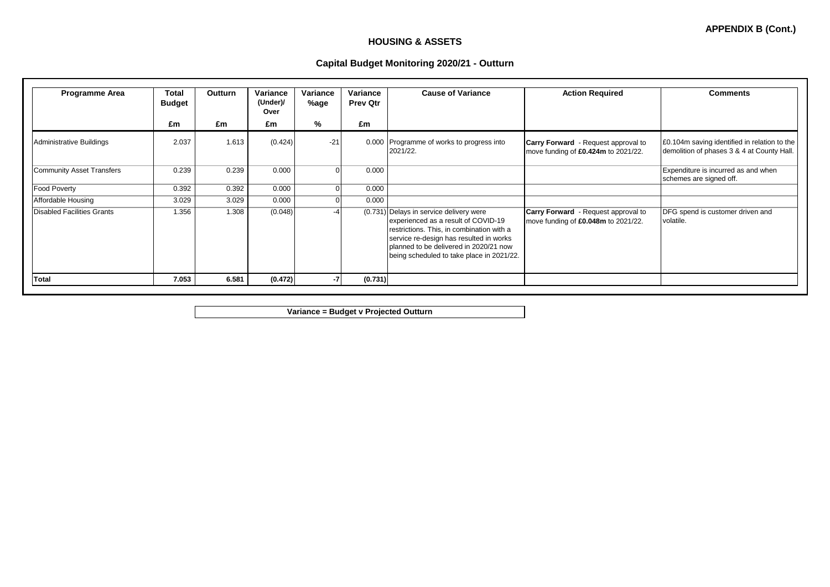## **HOUSING & ASSETS**

## **Capital Budget Monitoring 2020/21 - Outturn**

| <b>Programme Area</b>             | <b>Total</b><br><b>Budget</b> | <b>Outturn</b> | Variance<br>(Under)/<br>Over | Variance<br>%age | Variance<br><b>Prev Qtr</b> | <b>Cause of Variance</b>                                                                                                                                                                                                                                      | <b>Action Required</b>                                                            | <b>Comments</b>                                                                            |
|-----------------------------------|-------------------------------|----------------|------------------------------|------------------|-----------------------------|---------------------------------------------------------------------------------------------------------------------------------------------------------------------------------------------------------------------------------------------------------------|-----------------------------------------------------------------------------------|--------------------------------------------------------------------------------------------|
|                                   | £m                            | £m             | £m                           | %                | £m                          |                                                                                                                                                                                                                                                               |                                                                                   |                                                                                            |
| <b>Administrative Buildings</b>   | 2.037                         | 1.613          | (0.424)                      | $-21$            |                             | 0.000 Programme of works to progress into<br>2021/22.                                                                                                                                                                                                         | <b>Carry Forward</b> - Request approval to<br>move funding of £0.424m to 2021/22. | E0.104m saving identified in relation to the<br>demolition of phases 3 & 4 at County Hall. |
| <b>Community Asset Transfers</b>  | 0.239                         | 0.239          | 0.000                        |                  | 0.000                       |                                                                                                                                                                                                                                                               |                                                                                   | Expenditure is incurred as and when<br>schemes are signed off.                             |
| Food Poverty                      | 0.392                         | 0.392          | 0.000                        |                  | 0.000                       |                                                                                                                                                                                                                                                               |                                                                                   |                                                                                            |
| Affordable Housing                | 3.029                         | 3.029          | 0.000                        |                  | 0.000                       |                                                                                                                                                                                                                                                               |                                                                                   |                                                                                            |
| <b>Disabled Facilities Grants</b> | 1.356                         | 1.308          | (0.048)                      |                  |                             | (0.731) Delays in service delivery were<br>experienced as a result of COVID-19<br>restrictions. This, in combination with a<br>service re-design has resulted in works<br>planned to be delivered in 2020/21 now<br>being scheduled to take place in 2021/22. | <b>Carry Forward</b> - Request approval to<br>move funding of £0.048m to 2021/22. | DFG spend is customer driven and<br>volatile.                                              |
| <b>Total</b>                      | 7.053                         | 6.581          | (0.472)                      |                  | (0.731)                     |                                                                                                                                                                                                                                                               |                                                                                   |                                                                                            |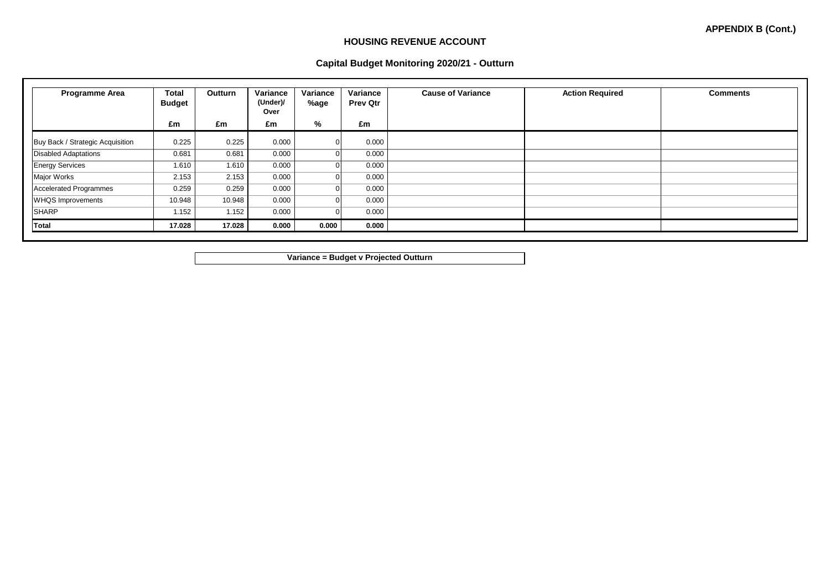## **HOUSING REVENUE ACCOUNT**

## **Capital Budget Monitoring 2020/21 - Outturn**

| <b>Programme Area</b>            | Total<br><b>Budget</b> | <b>Outturn</b> | Variance<br>(Under)/<br>Over | Variance<br>%age | Variance<br><b>Prev Qtr</b> | <b>Cause of Variance</b> | <b>Action Required</b> | <b>Comments</b> |
|----------------------------------|------------------------|----------------|------------------------------|------------------|-----------------------------|--------------------------|------------------------|-----------------|
|                                  | £m                     | £m             | £m                           | %                | £m                          |                          |                        |                 |
| Buy Back / Strategic Acquisition | 0.225                  | 0.225          | 0.000                        |                  | 0.000                       |                          |                        |                 |
| <b>Disabled Adaptations</b>      | 0.681                  | 0.681          | 0.000                        |                  | 0.000                       |                          |                        |                 |
| <b>Energy Services</b>           | 1.610                  | 1.610          | 0.000                        |                  | 0.000                       |                          |                        |                 |
| Major Works                      | 2.153                  | 2.153          | 0.000                        |                  | 0.000                       |                          |                        |                 |
| <b>Accelerated Programmes</b>    | 0.259                  | 0.259          | 0.000                        |                  | 0.000                       |                          |                        |                 |
| <b>WHQS Improvements</b>         | 10.948                 | 10.948         | 0.000                        |                  | 0.000                       |                          |                        |                 |
| <b>SHARP</b>                     | 1.152                  | 1.152          | 0.000                        |                  | 0.000                       |                          |                        |                 |
| Total                            | 17.028                 | 17.028         | 0.000                        | 0.000            | 0.000                       |                          |                        |                 |